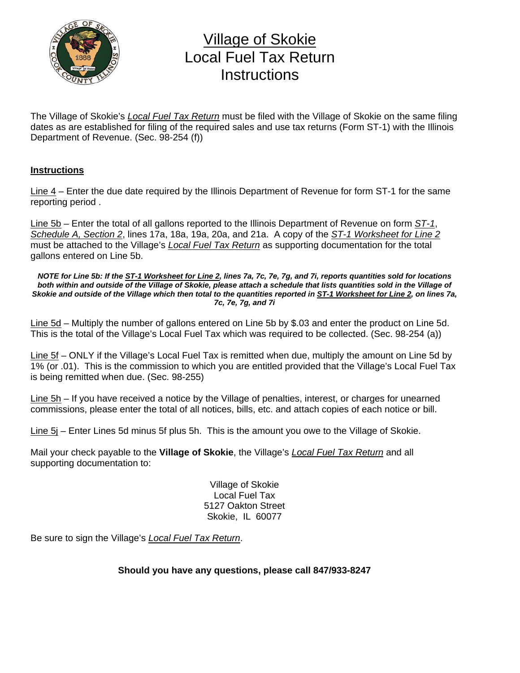

## Village of Skokie Local Fuel Tax Return **Instructions**

The Village of Skokie's *Local Fuel Tax Return* must be filed with the Village of Skokie on the same filing dates as are established for filing of the required sales and use tax returns (Form ST-1) with the Illinois Department of Revenue. (Sec. 98-254 (f))

## **Instructions**

Line 4 – Enter the due date required by the Illinois Department of Revenue for form ST-1 for the same reporting period .

Line 5b – Enter the total of all gallons reported to the Illinois Department of Revenue on form *ST-1*, *Schedule A, Section 2*, lines 17a, 18a, 19a, 20a, and 21a. A copy of the *ST-1 Worksheet for Line 2* must be attached to the Village's *Local Fuel Tax Return* as supporting documentation for the total gallons entered on Line 5b.

*NOTE for Line 5b: If the ST-1 Worksheet for Line 2, lines 7a, 7c, 7e, 7g, and 7i, reports quantities sold for locations both within and outside of the Village of Skokie, please attach a schedule that lists quantities sold in the Village of Skokie and outside of the Village which then total to the quantities reported in ST-1 Worksheet for Line 2, on lines 7a, 7c, 7e, 7g, and 7i* 

Line 5d – Multiply the number of gallons entered on Line 5b by \$.03 and enter the product on Line 5d. This is the total of the Village's Local Fuel Tax which was required to be collected. (Sec. 98-254 (a))

Line 5f – ONLY if the Village's Local Fuel Tax is remitted when due, multiply the amount on Line 5d by 1% (or .01). This is the commission to which you are entitled provided that the Village's Local Fuel Tax is being remitted when due. (Sec. 98-255)

Line 5h – If you have received a notice by the Village of penalties, interest, or charges for unearned commissions, please enter the total of all notices, bills, etc. and attach copies of each notice or bill.

Line 5j – Enter Lines 5d minus 5f plus 5h. This is the amount you owe to the Village of Skokie.

Mail your check payable to the **Village of Skokie**, the Village's *Local Fuel Tax Return* and all supporting documentation to:

> Village of Skokie Local Fuel Tax 5127 Oakton Street Skokie, IL 60077

Be sure to sign the Village's *Local Fuel Tax Return*.

**Should you have any questions, please call 847/933-8247**